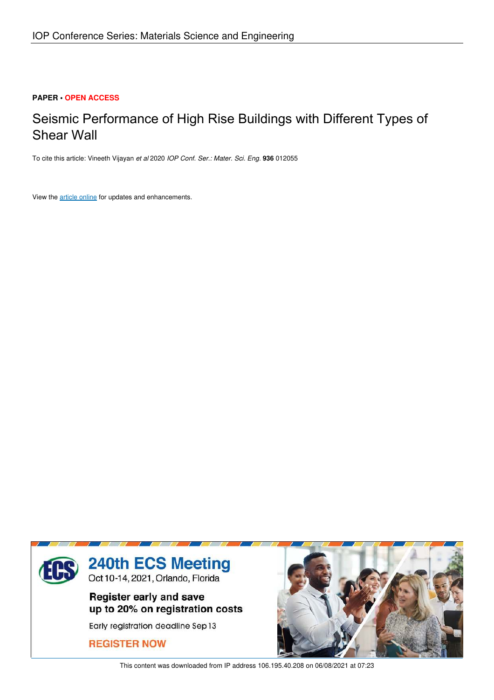#### **PAPER • OPEN ACCESS**

## Seismic Performance of High Rise Buildings with Different Types of Shear Wall

To cite this article: Vineeth Vijayan *et al* 2020 *IOP Conf. Ser.: Mater. Sci. Eng.* **936** 012055

View the article online for updates and enhancements.



This content was downloaded from IP address 106.195.40.208 on 06/08/2021 at 07:23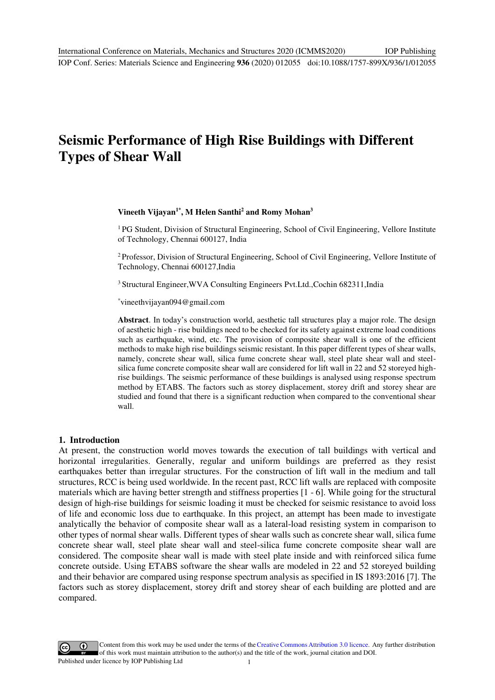# **Seismic Performance of High Rise Buildings with Different Types of Shear Wall**

### **Vineeth Vijayan1\* , M Helen Santhi<sup>2</sup> and Romy Mohan<sup>3</sup>**

<sup>1</sup>PG Student, Division of Structural Engineering, School of Civil Engineering, Vellore Institute of Technology, Chennai 600127, India

<sup>2</sup>Professor, Division of Structural Engineering, School of Civil Engineering, Vellore Institute of Technology, Chennai 600127,India

<sup>3</sup>Structural Engineer,WVA Consulting Engineers Pvt.Ltd.,Cochin 682311,India

\*[vineethvijayan094@gmail.com](mailto:vineethvijayan094@gmail.com) 

**Abstract**. In today's construction world, aesthetic tall structures play a major role. The design of aesthetic high - rise buildings need to be checked for its safety against extreme load conditions such as earthquake, wind, etc. The provision of composite shear wall is one of the efficient methods to make high rise buildings seismic resistant. In this paper different types of shear walls, namely, concrete shear wall, silica fume concrete shear wall, steel plate shear wall and steelsilica fume concrete composite shear wall are considered for lift wall in 22 and 52 storeyed highrise buildings. The seismic performance of these buildings is analysed using response spectrum method by ETABS. The factors such as storey displacement, storey drift and storey shear are studied and found that there is a significant reduction when compared to the conventional shear wall.

#### **1. Introduction**

At present, the construction world moves towards the execution of tall buildings with vertical and horizontal irregularities. Generally, regular and uniform buildings are preferred as they resist earthquakes better than irregular structures. For the construction of lift wall in the medium and tall structures, RCC is being used worldwide. In the recent past, RCC lift walls are replaced with composite materials which are having better strength and stiffness properties [1 - 6]. While going for the structural design of high-rise buildings for seismic loading it must be checked for seismic resistance to avoid loss of life and economic loss due to earthquake. In this project, an attempt has been made to investigate analytically the behavior of composite shear wall as a lateral-load resisting system in comparison to other types of normal shear walls. Different types of shear walls such as concrete shear wall, silica fume concrete shear wall, steel plate shear wall and steel-silica fume concrete composite shear wall are considered. The composite shear wall is made with steel plate inside and with reinforced silica fume concrete outside. Using ETABS software the shear walls are modeled in 22 and 52 storeyed building and their behavior are compared using response spectrum analysis as specified in IS 1893:2016 [7]. The factors such as storey displacement, storey drift and storey shear of each building are plotted and are compared.

Content from this work may be used under the terms of the Creative Commons Attribution 3.0 licence. Any further distribution of this work must maintain attribution to the author(s) and the title of the work, journal citation and DOI. Published under licence by IOP Publishing Ltd 1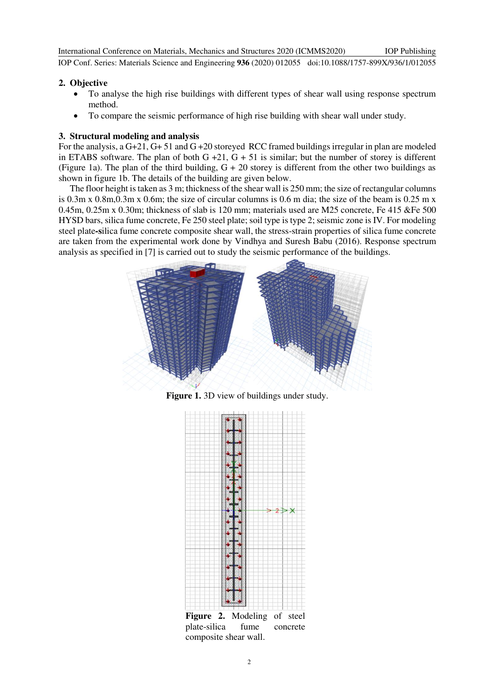International Conference on Materials, Mechanics and Structures 2020 (ICMMS2020) IOP Conf. Series: Materials Science and Engineering **936** (2020) 012055 doi:10.1088/1757-899X/936/1/012055 IOP Publishing

#### **2. Objective**

- To analyse the high rise buildings with different types of shear wall using response spectrum method.
- To compare the seismic performance of high rise building with shear wall under study.

### **3. Structural modeling and analysis**

For the analysis, a G+21, G+ 51 and G +20 storeyed RCC framed buildings irregular in plan are modeled in ETABS software. The plan of both  $G + 21$ ,  $G + 51$  is similar; but the number of storey is different (Figure 1a). The plan of the third building, G + 20 storey is different from the other two buildings as shown in figure 1b. The details of the building are given below.

The floor height is taken as 3 m; thickness of the shear wall is 250 mm; the size of rectangular columns is 0.3m x 0.8m,0.3m x 0.6m; the size of circular columns is 0.6 m dia; the size of the beam is 0.25 m x 0.45m, 0.25m x 0.30m; thickness of slab is 120 mm; materials used are M25 concrete, Fe 415 &Fe 500 HYSD bars, silica fume concrete, Fe 250 steel plate; soil type is type 2; seismic zone is IV. For modeling steel plate**-s**ilica fume concrete composite shear wall, the stress-strain properties of silica fume concrete are taken from the experimental work done by Vindhya and Suresh Babu (2016). Response spectrum analysis as specified in [7] is carried out to study the seismic performance of the buildings.



**Figure 1.** 3D view of buildings under study.



**Figure 2.** Modeling of steel plate-silica fume concrete composite shear wall.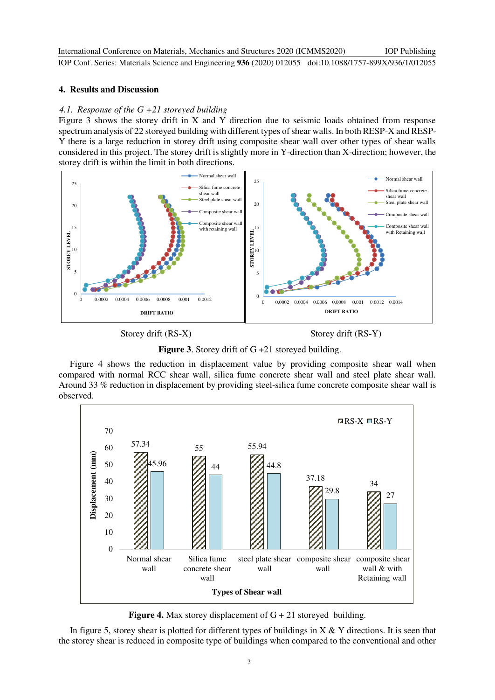International Conference on Materials, Mechanics and Structures 2020 (ICMMS2020) IOP Conf. Series: Materials Science and Engineering **936** (2020) 012055 doi:10.1088/1757-899X/936/1/012055 IOP Publishing

### **4. Results and Discussion**

### *4.1. Response of the G +21 storeyed building*

Figure 3 shows the storey drift in X and Y direction due to seismic loads obtained from response spectrum analysis of 22 storeyed building with different types of shear walls. In both RESP-X and RESP-Y there is a large reduction in storey drift using composite shear wall over other types of shear walls considered in this project. The storey drift is slightly more in Y-direction than X-direction; however, the storey drift is within the limit in both directions.



Storey drift (RS-X) Storey drift (RS-Y)

**Figure 3**. Storey drift of G +21 storeyed building.

Figure 4 shows the reduction in displacement value by providing composite shear wall when compared with normal RCC shear wall, silica fume concrete shear wall and steel plate shear wall. Around 33 % reduction in displacement by providing steel-silica fume concrete composite shear wall is observed.



**Figure 4.** Max storey displacement of G + 21 storeyed building.

In figure 5, storey shear is plotted for different types of buildings in  $X \& Y$  directions. It is seen that the storey shear is reduced in composite type of buildings when compared to the conventional and other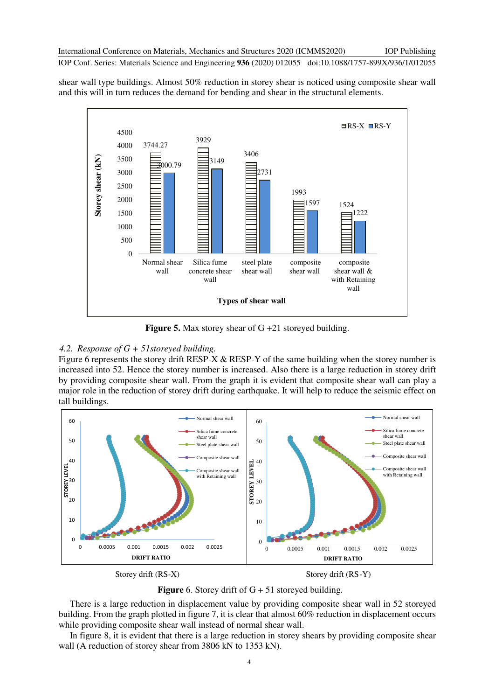IOP Publishing

IOP Conf. Series: Materials Science and Engineering **936** (2020) 012055 doi:10.1088/1757-899X/936/1/012055

shear wall type buildings. Almost 50% reduction in storey shear is noticed using composite shear wall and this will in turn reduces the demand for bending and shear in the structural elements.



**Figure 5.** Max storey shear of G +21 storeyed building.

#### *4.2. Response of G + 51storeyed building.*

Figure 6 represents the storey drift RESP-X & RESP-Y of the same building when the storey number is increased into 52. Hence the storey number is increased. Also there is a large reduction in storey drift by providing composite shear wall. From the graph it is evident that composite shear wall can play a major role in the reduction of storey drift during earthquake. It will help to reduce the seismic effect on tall buildings.



Storey drift (RS-X) Storey drift (RS-Y)



There is a large reduction in displacement value by providing composite shear wall in 52 storeyed building. From the graph plotted in figure 7, it is clear that almost 60% reduction in displacement occurs while providing composite shear wall instead of normal shear wall.

In figure 8, it is evident that there is a large reduction in storey shears by providing composite shear wall (A reduction of storey shear from 3806 kN to 1353 kN).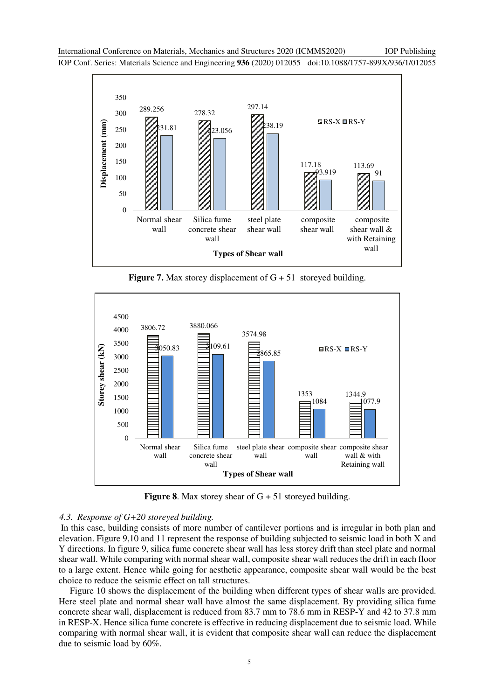IOP Conf. Series: Materials Science and Engineering **936** (2020) 012055 doi:10.1088/1757-899X/936/1/012055



**Figure 7.** Max storey displacement of G + 51 storeyed building.



**Figure 8.** Max storey shear of  $G + 51$  storeyed building.

#### *4.3. Response of G+20 storeyed building.*

 In this case, building consists of more number of cantilever portions and is irregular in both plan and elevation. Figure 9,10 and 11 represent the response of building subjected to seismic load in both X and Y directions. In figure 9, silica fume concrete shear wall has less storey drift than steel plate and normal shear wall. While comparing with normal shear wall, composite shear wall reduces the drift in each floor to a large extent. Hence while going for aesthetic appearance, composite shear wall would be the best choice to reduce the seismic effect on tall structures.

Figure 10 shows the displacement of the building when different types of shear walls are provided. Here steel plate and normal shear wall have almost the same displacement. By providing silica fume concrete shear wall, displacement is reduced from 83.7 mm to 78.6 mm in RESP-Y and 42 to 37.8 mm in RESP-X. Hence silica fume concrete is effective in reducing displacement due to seismic load. While comparing with normal shear wall, it is evident that composite shear wall can reduce the displacement due to seismic load by 60%.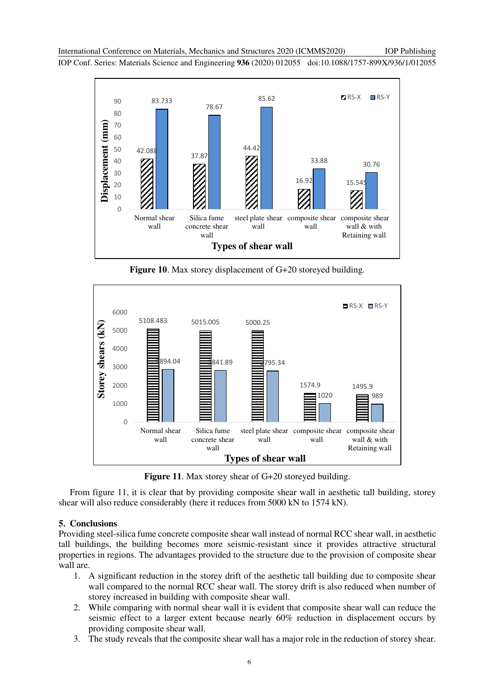International Conference on Materials, Mechanics and Structures 2020 (ICMMS2020) IOP Conf. Series: Materials Science and Engineering **936** (2020) 012055 doi:10.1088/1757-899X/936/1/012055 IOP Publishing



**Figure 10**. Max storey displacement of G+20 storeyed building.



**Figure 11**. Max storey shear of G+20 storeyed building.

From figure 11, it is clear that by providing composite shear wall in aesthetic tall building, storey shear will also reduce considerably (here it reduces from 5000 kN to 1574 kN).

#### **5. Conclusions**

Providing steel-silica fume concrete composite shear wall instead of normal RCC shear wall, in aesthetic tall buildings, the building becomes more seismic-resistant since it provides attractive structural properties in regions. The advantages provided to the structure due to the provision of composite shear wall are.

- 1. A significant reduction in the storey drift of the aesthetic tall building due to composite shear wall compared to the normal RCC shear wall. The storey drift is also reduced when number of storey increased in building with composite shear wall.
- 2. While comparing with normal shear wall it is evident that composite shear wall can reduce the seismic effect to a larger extent because nearly 60% reduction in displacement occurs by providing composite shear wall.
- 3. The study reveals that the composite shear wall has a major role in the reduction of storey shear.